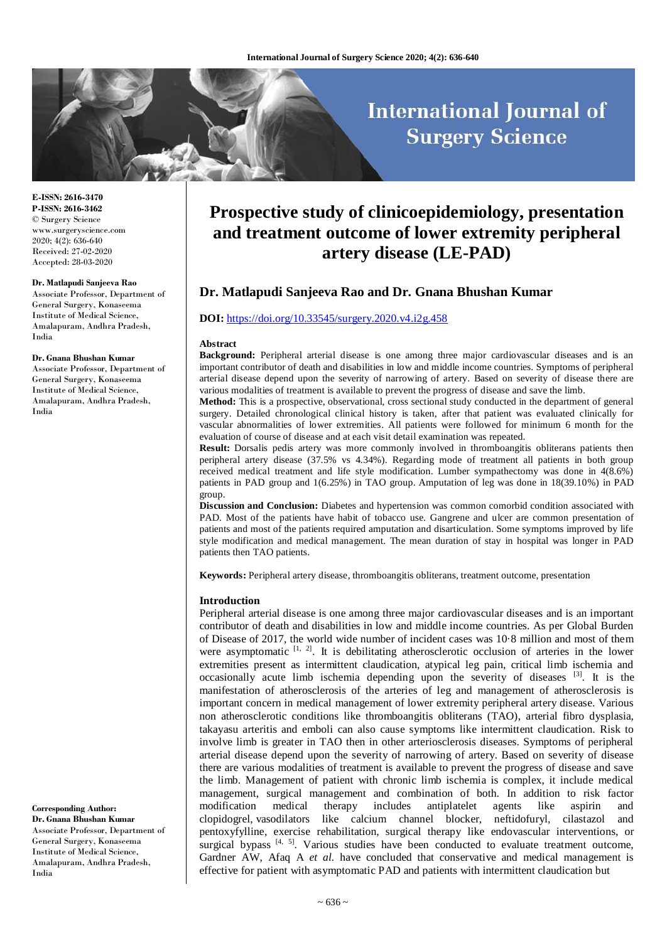# **International Journal of Surgery Science**

**E-ISSN: 2616-3470 P-ISSN: 2616-3462** © Surgery Science www.surgeryscience.com 2020; 4(2): 636-640 Received: 27-02-2020 Accepted: 28-03-2020

#### **Dr. Matlapudi Sanjeeva Rao**

Associate Professor, Department of General Surgery, Konaseema Institute of Medical Science, Amalapuram, Andhra Pradesh, India

#### **Dr. Gnana Bhushan Kumar**

Associate Professor, Department of General Surgery, Konaseema Institute of Medical Science, Amalapuram, Andhra Pradesh, India

**Corresponding Author: Dr. Gnana Bhushan Kumar** Associate Professor, Department of General Surgery, Konaseema Institute of Medical Science, Amalapuram, Andhra Pradesh, India

# **Prospective study of clinicoepidemiology, presentation and treatment outcome of lower extremity peripheral artery disease (LE-PAD)**

# **Dr. Matlapudi Sanjeeva Rao and Dr. Gnana Bhushan Kumar**

### **DOI:** <https://doi.org/10.33545/surgery.2020.v4.i2g.458>

#### **Abstract**

**Background:** Peripheral arterial disease is one among three major cardiovascular diseases and is an important contributor of death and disabilities in low and middle income countries. Symptoms of peripheral arterial disease depend upon the severity of narrowing of artery. Based on severity of disease there are various modalities of treatment is available to prevent the progress of disease and save the limb.

**Method:** This is a prospective, observational, cross sectional study conducted in the department of general surgery. Detailed chronological clinical history is taken, after that patient was evaluated clinically for vascular abnormalities of lower extremities. All patients were followed for minimum 6 month for the evaluation of course of disease and at each visit detail examination was repeated.

**Result:** Dorsalis pedis artery was more commonly involved in thromboangitis obliterans patients then peripheral artery disease (37.5% vs 4.34%). Regarding mode of treatment all patients in both group received medical treatment and life style modification. Lumber sympathectomy was done in 4(8.6%) patients in PAD group and 1(6.25%) in TAO group. Amputation of leg was done in 18(39.10%) in PAD group.

**Discussion and Conclusion:** Diabetes and hypertension was common comorbid condition associated with PAD. Most of the patients have habit of tobacco use. Gangrene and ulcer are common presentation of patients and most of the patients required amputation and disarticulation. Some symptoms improved by life style modification and medical management. The mean duration of stay in hospital was longer in PAD patients then TAO patients.

**Keywords:** Peripheral artery disease, thromboangitis obliterans, treatment outcome, presentation

#### **Introduction**

Peripheral arterial disease is one among three major cardiovascular diseases and is an important contributor of death and disabilities in low and middle income countries. As per Global Burden of Disease of 2017, the world wide number of incident cases was 10·8 million and most of them were asymptomatic  $[1, 2]$ . It is debilitating atherosclerotic occlusion of arteries in the lower extremities present as intermittent claudication, atypical leg pain, critical limb ischemia and occasionally acute limb ischemia depending upon the severity of diseases  $[3]$ . It is the manifestation of atherosclerosis of the arteries of leg and management of atherosclerosis is important concern in medical management of lower extremity peripheral artery disease. Various non atherosclerotic conditions like thromboangitis obliterans (TAO), arterial fibro dysplasia, takayasu arteritis and emboli can also cause symptoms like intermittent claudication. Risk to involve limb is greater in TAO then in other arteriosclerosis diseases. Symptoms of peripheral arterial disease depend upon the severity of narrowing of artery. Based on severity of disease there are various modalities of treatment is available to prevent the progress of disease and save the limb. Management of patient with chronic limb ischemia is complex, it include medical management, surgical management and combination of both. In addition to risk factor modification medical therapy includes antiplatelet agents like aspirin and clopidogrel, vasodilators like calcium channel blocker, neftidofuryl, cilastazol and pentoxyfylline, exercise rehabilitation, surgical therapy like endovascular interventions, or surgical bypass  $[4, 5]$ . Various studies have been conducted to evaluate treatment outcome, Gardner AW, Afaq A *et al.* have concluded that conservative and medical management is effective for patient with asymptomatic PAD and patients with intermittent claudication but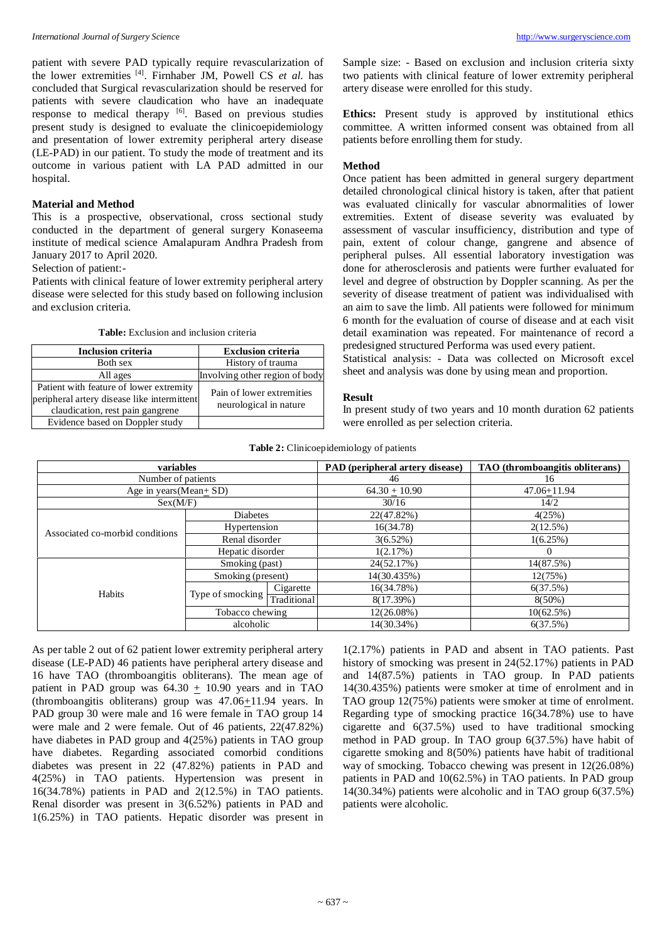patient with severe PAD typically require revascularization of the lower extremities [4] . Firnhaber JM, Powell CS *et al.* has concluded that Surgical revascularization should be reserved for patients with severe claudication who have an inadequate response to medical therapy [6]. Based on previous studies present study is designed to evaluate the clinicoepidemiology and presentation of lower extremity peripheral artery disease (LE-PAD) in our patient. To study the mode of treatment and its outcome in various patient with LA PAD admitted in our hospital.

#### **Material and Method**

This is a prospective, observational, cross sectional study conducted in the department of general surgery Konaseema institute of medical science Amalapuram Andhra Pradesh from January 2017 to April 2020.

### Selection of patient:-

Patients with clinical feature of lower extremity peripheral artery disease were selected for this study based on following inclusion and exclusion criteria.

**Table:** Exclusion and inclusion criteria

| <b>Inclusion criteria</b>                                                                                                  | <b>Exclusion criteria</b>                           |
|----------------------------------------------------------------------------------------------------------------------------|-----------------------------------------------------|
| Both sex                                                                                                                   | History of trauma                                   |
| All ages                                                                                                                   | Involving other region of body                      |
| Patient with feature of lower extremity<br>peripheral artery disease like intermittent<br>claudication, rest pain gangrene | Pain of lower extremities<br>neurological in nature |
| Evidence based on Doppler study                                                                                            |                                                     |

Sample size: - Based on exclusion and inclusion criteria sixty two patients with clinical feature of lower extremity peripheral artery disease were enrolled for this study.

**Ethics:** Present study is approved by institutional ethics committee. A written informed consent was obtained from all patients before enrolling them for study.

#### **Method**

Once patient has been admitted in general surgery department detailed chronological clinical history is taken, after that patient was evaluated clinically for vascular abnormalities of lower extremities. Extent of disease severity was evaluated by assessment of vascular insufficiency, distribution and type of pain, extent of colour change, gangrene and absence of peripheral pulses. All essential laboratory investigation was done for atherosclerosis and patients were further evaluated for level and degree of obstruction by Doppler scanning. As per the severity of disease treatment of patient was individualised with an aim to save the limb. All patients were followed for minimum 6 month for the evaluation of course of disease and at each visit detail examination was repeated. For maintenance of record a predesigned structured Performa was used every patient.

Statistical analysis: - Data was collected on Microsoft excel sheet and analysis was done by using mean and proportion.

#### **Result**

In present study of two years and 10 month duration 62 patients were enrolled as per selection criteria.

| Table 2: Clinicoepidemiology of patients |  |  |
|------------------------------------------|--|--|
|------------------------------------------|--|--|

| variables                       |                   | PAD (peripheral artery disease) | TAO (thromboangitis obliterans) |             |
|---------------------------------|-------------------|---------------------------------|---------------------------------|-------------|
| Number of patients              |                   | 46                              | 16                              |             |
| Age in years (Mean+ $SD$ )      |                   | $64.30 + 10.90$                 | $47.06 + 11.94$                 |             |
| Sex(M/F)                        |                   | 30/16                           | 14/2                            |             |
| Associated co-morbid conditions | <b>Diabetes</b>   |                                 | 22(47.82%)                      | 4(25%)      |
|                                 | Hypertension      |                                 | 16(34.78)                       | $2(12.5\%)$ |
|                                 | Renal disorder    |                                 | $3(6.52\%)$                     | 1(6.25%)    |
|                                 | Hepatic disorder  |                                 | 1(2.17%)                        | $\Omega$    |
|                                 | Smoking (past)    |                                 | 24(52.17%)                      | 14(87.5%)   |
| Habits                          | Smoking (present) |                                 | 14(30.435%)                     | 12(75%)     |
|                                 | Type of smocking  | Cigarette                       | 16(34.78%)                      | 6(37.5%)    |
|                                 |                   | Traditional                     | 8(17.39%)                       | $8(50\%)$   |
|                                 | Tobacco chewing   |                                 | $12(26.08\%)$                   | 10(62.5%)   |
|                                 | alcoholic         |                                 | 14(30.34%)                      | 6(37.5%)    |

As per table 2 out of 62 patient lower extremity peripheral artery disease (LE-PAD) 46 patients have peripheral artery disease and 16 have TAO (thromboangitis obliterans). The mean age of patient in PAD group was  $64.30 \pm 10.90$  years and in TAO (thromboangitis obliterans) group was 47.06+11.94 years. In PAD group 30 were male and 16 were female in TAO group 14 were male and 2 were female. Out of 46 patients, 22(47.82%) have diabetes in PAD group and 4(25%) patients in TAO group have diabetes. Regarding associated comorbid conditions diabetes was present in 22 (47.82%) patients in PAD and 4(25%) in TAO patients. Hypertension was present in 16(34.78%) patients in PAD and 2(12.5%) in TAO patients. Renal disorder was present in 3(6.52%) patients in PAD and 1(6.25%) in TAO patients. Hepatic disorder was present in

1(2.17%) patients in PAD and absent in TAO patients. Past history of smocking was present in 24(52.17%) patients in PAD and 14(87.5%) patients in TAO group. In PAD patients 14(30.435%) patients were smoker at time of enrolment and in TAO group 12(75%) patients were smoker at time of enrolment. Regarding type of smocking practice 16(34.78%) use to have cigarette and 6(37.5%) used to have traditional smocking method in PAD group. In TAO group 6(37.5%) have habit of cigarette smoking and 8(50%) patients have habit of traditional way of smocking. Tobacco chewing was present in 12(26.08%) patients in PAD and 10(62.5%) in TAO patients. In PAD group 14(30.34%) patients were alcoholic and in TAO group 6(37.5%) patients were alcoholic.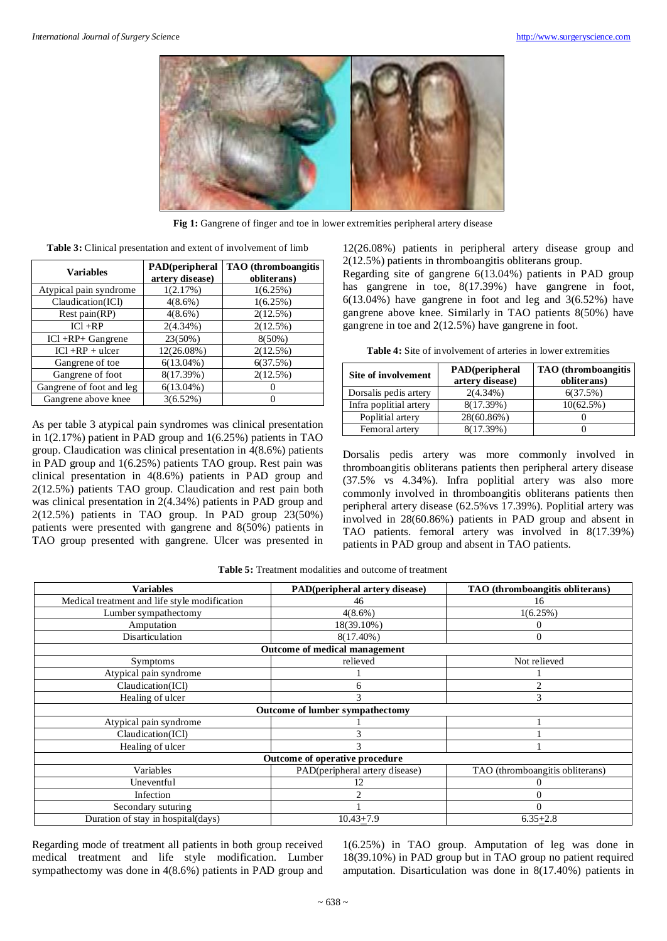

**Fig 1:** Gangrene of finger and toe in lower extremities peripheral artery disease

**Table 3:** Clinical presentation and extent of involvement of limb

| <b>Variables</b>         | <b>PAD</b> (peripheral<br>artery disease) | <b>TAO</b> (thromboangitis<br>obliterans) |
|--------------------------|-------------------------------------------|-------------------------------------------|
| Atypical pain syndrome   | 1(2.17%)                                  | 1(6.25%)                                  |
| Claudication(ICI)        | $4(8.6\%)$                                | 1(6.25%)                                  |
| Rest pain $(RP)$         | $4(8.6\%)$                                | $2(12.5\%)$                               |
| $IC1 + RP$               | $2(4.34\%)$                               | $2(12.5\%)$                               |
| $ICl + RP + Gan$ grene   | $23(50\%)$                                | $8(50\%)$                                 |
| $ICl + RP + uler$        | 12(26.08%)                                | $2(12.5\%)$                               |
| Gangrene of toe          | $6(13.04\%)$                              | 6(37.5%)                                  |
| Gangrene of foot         | 8(17.39%)                                 | $2(12.5\%)$                               |
| Gangrene of foot and leg | $6(13.04\%)$                              |                                           |
| Gangrene above knee      | $3(6.52\%)$                               |                                           |

As per table 3 atypical pain syndromes was clinical presentation in 1(2.17%) patient in PAD group and 1(6.25%) patients in TAO group. Claudication was clinical presentation in 4(8.6%) patients in PAD group and 1(6.25%) patients TAO group. Rest pain was clinical presentation in 4(8.6%) patients in PAD group and 2(12.5%) patients TAO group. Claudication and rest pain both was clinical presentation in 2(4.34%) patients in PAD group and 2(12.5%) patients in TAO group. In PAD group 23(50%) patients were presented with gangrene and 8(50%) patients in TAO group presented with gangrene. Ulcer was presented in 12(26.08%) patients in peripheral artery disease group and 2(12.5%) patients in thromboangitis obliterans group.

Regarding site of gangrene 6(13.04%) patients in PAD group has gangrene in toe, 8(17.39%) have gangrene in foot,  $6(13.04%)$  have gangrene in foot and leg and  $3(6.52%)$  have gangrene above knee. Similarly in TAO patients 8(50%) have gangrene in toe and 2(12.5%) have gangrene in foot.

| Site of involvement    | PAD(peripheral<br>artery disease) | <b>TAO</b> (thromboangitis<br>obliterans) |
|------------------------|-----------------------------------|-------------------------------------------|
| Dorsalis pedis artery  | $2(4.34\%)$                       | 6(37.5%)                                  |
| Infra poplitial artery | 8(17.39%)                         | 10(62.5%)                                 |
| Poplitial artery       | 28(60.86%)                        |                                           |
| Femoral artery         | 8(17.39%)                         |                                           |

Dorsalis pedis artery was more commonly involved in thromboangitis obliterans patients then peripheral artery disease (37.5% vs 4.34%). Infra poplitial artery was also more commonly involved in thromboangitis obliterans patients then peripheral artery disease (62.5%vs 17.39%). Poplitial artery was involved in 28(60.86%) patients in PAD group and absent in TAO patients. femoral artery was involved in 8(17.39%) patients in PAD group and absent in TAO patients.

| <b>Table 5:</b> Treatment modalities and outcome of treatment |
|---------------------------------------------------------------|
|---------------------------------------------------------------|

| <b>Variables</b>                              | PAD(peripheral artery disease) | TAO (thromboangitis obliterans) |  |  |
|-----------------------------------------------|--------------------------------|---------------------------------|--|--|
| Medical treatment and life style modification | 46                             | 16                              |  |  |
| Lumber sympathectomy                          | $4(8.6\%)$                     | 1(6.25%)                        |  |  |
| Amputation                                    | 18(39.10%)                     |                                 |  |  |
| Disarticulation                               | $8(17.40\%)$                   |                                 |  |  |
| Outcome of medical management                 |                                |                                 |  |  |
| Symptoms                                      | relieved                       | Not relieved                    |  |  |
| Atypical pain syndrome                        |                                |                                 |  |  |
| Claudication(ICl)                             | 6                              |                                 |  |  |
| Healing of ulcer                              | 3                              | 3                               |  |  |
| <b>Outcome of lumber sympathectomy</b>        |                                |                                 |  |  |
| Atypical pain syndrome                        |                                |                                 |  |  |
| Claudication(ICl)                             | 3                              |                                 |  |  |
| Healing of ulcer                              | 3                              |                                 |  |  |
| Outcome of operative procedure                |                                |                                 |  |  |
| Variables                                     | PAD(peripheral artery disease) | TAO (thromboangitis obliterans) |  |  |
| Uneventful                                    | 12                             |                                 |  |  |
| Infection                                     | 2                              |                                 |  |  |
| Secondary suturing                            |                                |                                 |  |  |
| Duration of stay in hospital(days)            | $10.43 + 7.9$                  | $6.35 + 2.8$                    |  |  |

Regarding mode of treatment all patients in both group received medical treatment and life style modification. Lumber sympathectomy was done in 4(8.6%) patients in PAD group and 1(6.25%) in TAO group. Amputation of leg was done in 18(39.10%) in PAD group but in TAO group no patient required amputation. Disarticulation was done in 8(17.40%) patients in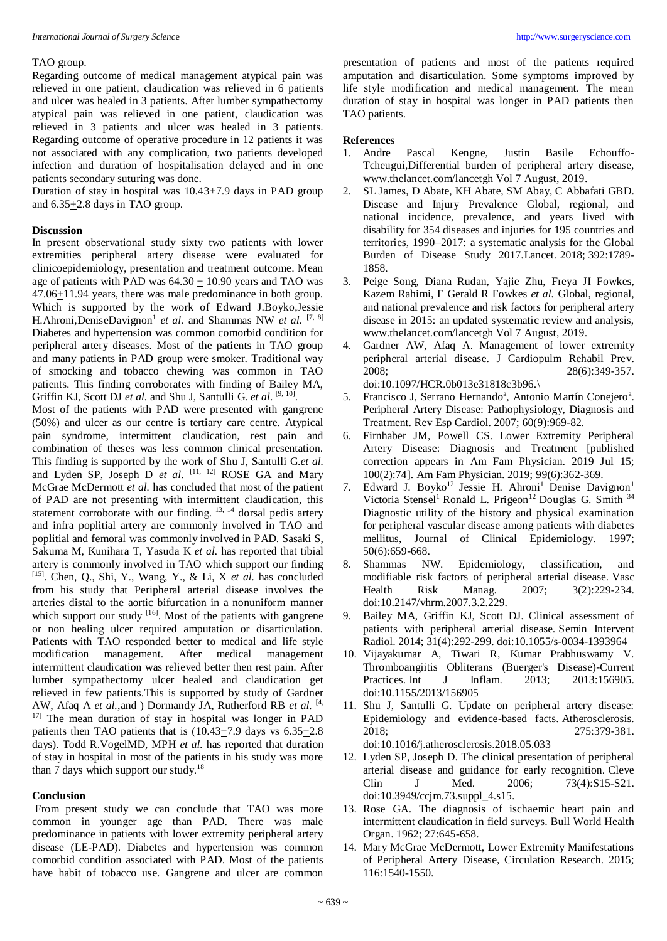# TAO group.

Regarding outcome of medical management atypical pain was relieved in one patient, claudication was relieved in 6 patients and ulcer was healed in 3 patients. After lumber sympathectomy atypical pain was relieved in one patient, claudication was relieved in 3 patients and ulcer was healed in 3 patients. Regarding outcome of operative procedure in 12 patients it was not associated with any complication, two patients developed infection and duration of hospitalisation delayed and in one patients secondary suturing was done.

Duration of stay in hospital was 10.43+7.9 days in PAD group and 6.35+2.8 days in TAO group.

# **Discussion**

In present observational study sixty two patients with lower extremities peripheral artery disease were evaluated for clinicoepidemiology, presentation and treatment outcome. Mean age of patients with PAD was  $64.30 \pm 10.90$  years and TAO was 47.06+11.94 years, there was male predominance in both group. Which is supported by the work of Edward J.Boyko,Jessie H.Ahroni,DeniseDavignon<sup>1</sup> et al. and Shammas NW et al. <sup>[7, 8]</sup> Diabetes and hypertension was common comorbid condition for peripheral artery diseases. Most of the patients in TAO group and many patients in PAD group were smoker. Traditional way of smocking and tobacco chewing was common in TAO patients. This finding corroborates with finding of Bailey MA, Griffin KJ, Scott DJ et al. and Shu J, Santulli G. et al. <sup>[9, 10]</sup>.

Most of the patients with PAD were presented with gangrene (50%) and ulcer as our centre is tertiary care centre. Atypical pain syndrome, intermittent claudication, rest pain and combination of theses was less common clinical presentation. This finding is supported by the work of Shu J, Santulli G.*et al.* and Lyden SP, Joseph D *et al.* [11, 12] ROSE GA and Mary McGrae McDermott *et al.* has concluded that most of the patient of PAD are not presenting with intermittent claudication, this statement corroborate with our finding. <sup>13, 14</sup> dorsal pedis artery and infra poplitial artery are commonly involved in TAO and poplitial and femoral was commonly involved in PAD. Sasaki S, Sakuma M, Kunihara T, Yasuda K *et al.* has reported that tibial artery is commonly involved in TAO which support our finding [15] . Chen, Q., Shi, Y., Wang, Y., & Li, X *et al.* has concluded from his study that Peripheral arterial disease involves the arteries distal to the aortic bifurcation in a nonuniform manner which support our study  $[16]$ . Most of the patients with gangrene or non healing ulcer required amputation or disarticulation. Patients with TAO responded better to medical and life style modification management. After medical management intermittent claudication was relieved better then rest pain. After lumber sympathectomy ulcer healed and claudication get relieved in few patients.This is supported by study of Gardner AW, Afaq A *et al.*,and ) Dormandy JA, Rutherford RB *et al.* [4, <sup>17]</sup> The mean duration of stay in hospital was longer in PAD patients then TAO patients that is (10.43+7.9 days vs 6.35+2.8 days). Todd R.VogelMD, MPH *et al.* has reported that duration of stay in hospital in most of the patients in his study was more than 7 days which support our study.<sup>18</sup>

#### **Conclusion**

From present study we can conclude that TAO was more common in younger age than PAD. There was male predominance in patients with lower extremity peripheral artery disease (LE-PAD). Diabetes and hypertension was common comorbid condition associated with PAD. Most of the patients have habit of tobacco use. Gangrene and ulcer are common presentation of patients and most of the patients required amputation and disarticulation. Some symptoms improved by life style modification and medical management. The mean duration of stay in hospital was longer in PAD patients then TAO patients.

#### **References**

- 1. Andre Pascal Kengne, Justin Basile Echouffo-Tcheugui,Differential burden of peripheral artery disease, www.thelancet.com/lancetgh Vol 7 August, 2019.
- 2. SL James, D Abate, KH Abate, SM Abay, C Abbafati GBD. Disease and Injury Prevalence Global, regional, and national incidence, prevalence, and years lived with disability for 354 diseases and injuries for 195 countries and territories, 1990–2017: a systematic analysis for the Global Burden of Disease Study 2017.Lancet. 2018; 392:1789- 1858.
- 3. Peige Song, Diana Rudan, Yajie Zhu, Freya JI Fowkes, Kazem Rahimi, F Gerald R Fowkes *et al.* Global, regional, and national prevalence and risk factors for peripheral artery disease in 2015: an updated systematic review and analysis, www.thelancet.com/lancetgh Vol 7 August, 2019.
- 4. Gardner AW, Afaq A. Management of lower extremity peripheral arterial disease. J Cardiopulm Rehabil Prev. 2008; 28(6):349-357. doi:10.1097/HCR.0b013e31818c3b96.\
- 5. Francisco J, Serrano Hernando<sup>a</sup>, Antonio Martín Conejero<sup>a</sup>. Peripheral Artery Disease: Pathophysiology, Diagnosis and Treatment. Rev Esp Cardiol. 2007; 60(9):969-82.
- 6. Firnhaber JM, Powell CS. Lower Extremity Peripheral Artery Disease: Diagnosis and Treatment [published correction appears in Am Fam Physician. 2019 Jul 15; 100(2):74]. Am Fam Physician. 2019; 99(6):362-369.
- 7. Edward J. Boyko<sup>12</sup> Jessie H. Ahroni<sup>1</sup> Denise Davignon<sup>1</sup> Victoria Stensel<sup>1</sup> Ronald L. Prigeon<sup>12</sup> Douglas G. Smith <sup>34</sup> Diagnostic utility of the history and physical examination for peripheral vascular disease among patients with diabetes mellitus, Journal of Clinical Epidemiology. 1997; 50(6):659-668.
- 8. Shammas NW. Epidemiology, classification, and modifiable risk factors of peripheral arterial disease. Vasc Health Risk Manag. 2007; 3(2):229-234. doi:10.2147/vhrm.2007.3.2.229.
- 9. Bailey MA, Griffin KJ, Scott DJ. Clinical assessment of patients with peripheral arterial disease. Semin Intervent Radiol. 2014; 31(4):292-299. doi:10.1055/s-0034-1393964
- 10. Vijayakumar A, Tiwari R, Kumar Prabhuswamy V. Thromboangiitis Obliterans (Buerger's Disease)-Current Practices. Int J Inflam. 2013; 2013:156905. doi:10.1155/2013/156905
- 11. Shu J, Santulli G. Update on peripheral artery disease: Epidemiology and evidence-based facts. Atherosclerosis. 2018; 275:379-381. doi:10.1016/j.atherosclerosis.2018.05.033
- 12. Lyden SP, Joseph D. The clinical presentation of peripheral arterial disease and guidance for early recognition. Cleve Clin J Med. 2006; 73(4):S15-S21. doi:10.3949/ccjm.73.suppl\_4.s15.
- 13. Rose GA. The diagnosis of ischaemic heart pain and intermittent claudication in field surveys. Bull World Health Organ. 1962; 27:645-658.
- 14. Mary McGrae McDermott, Lower Extremity Manifestations of Peripheral Artery Disease, Circulation Research. 2015; 116:1540-1550.